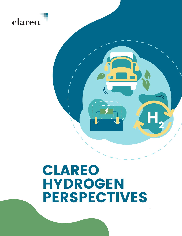

# CLAREO HYDROGEN **PERSPECTIVES**

 $\textbf{H}^{\scriptscriptstyle{\wedge}}_2$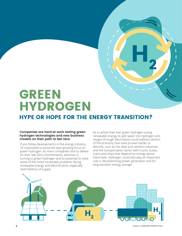### GREEN HYDROGEN

### HYPE OR HOPE FOR THE ENERGY TRANSITION?

#### **Companies are hard at work testing green hydrogen technologies and new business models on their path to Net Zero.**

If you follow developments in the energy industry, it's impossible to avoid the ever-growing focus on green hydrogen. As more companies look to deliver on their Net Zero commitments, attention is turning to green hydrogen and its potential to solve some of the more intractable problems facing renewable energy and electrification, especially intermittency of supply.

As a carbon-free fuel, green hydrogen (using renewable energy to split water into hydrogen and oxygen through electrolysis) could address sectors of the economy that have proved harder to electrify, such as the steel and cement industries and the transportation sector with trucks, buses, trains and ships that depend on energy-dense fossil fuels. Hydrogen could also play an important role in decarbonizing power generation and for long-duration energy storage.

 $\mathbf{H}_{2}$ 

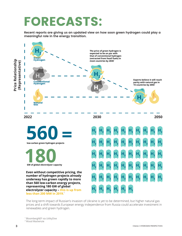# FORECASTS:

**Recent reports are giving us an updated view on how soon green hydrogen could play a meaningful role in the energy transition.**



The long-term impact of Russian's invasion of Ukraine is yet to be determined, but higher natural gas prices and a shift towards European energy independence from Russia could accelerate investment in renewables and green hydrogen.

<sup>1</sup> BloombergNEF via UtilityDive

<sup>2</sup> Wood Mackenzie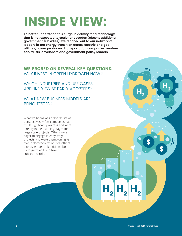# INSIDE VIEW:

**To better understand this surge in activity for a technology that is not expected to scale for decades (absent additional government subsidies), we reached out to our network of leaders in the energy transition across electric and gas utilities, power producers, transportation companies, venture capitalists, developers and government policy leaders.**

### WE PROBED ON SEVERAL KEY QUESTIONS: WHY INVEST IN GREEN HYDROGEN NOW?

WHICH INDUSTRIES AND USE CASES ARE LIKELY TO BE EARLY ADOPTERS?

#### WHAT NEW BUSINESS MODELS ARE BEING TESTED?

What we heard was a diverse set of perspectives. A few companies had made significant progress and were already in the planning stages for large scale projects. Others were eager to engage in early stage projects and were championing its role in decarbonization. Still others expressed deep skepticism about hydrogen's ability to take a substantial role.

 $H_2$   $H_2$   $H_2$ 

 $H^{\vphantom{\dagger}}_2$ 

 $H^{\vphantom{\dagger}}_2$ 

\$

\$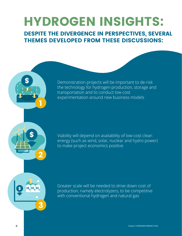# HYDROGEN INSIGHTS:

DESPITE THE DIVERGENCE IN PERSPECTIVES, SEVERAL THEMES DEVELOPED FROM THESE DISCUSSIONS:



Demonstration projects will be important to de-risk the technology for hydrogen production, storage and transportation and to conduct low-cost experimentation around new business models

Viability will depend on availability of low-cost clean energy (such as wind, solar, nuclear and hydro power) to make project economics positive

Greater scale will be needed to drive down cost of production, namely electrolyzers, to be competitive with conventional hydrogen and natural gas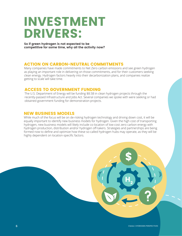## INVESTMENT DRIVERS:

**So if green hydrogen is not expected to be competitive for some time, why all the activity now?** 

### ACTION ON CARBON-NEUTRAL COMMITMENTS

Many companies have made commitments to Net Zero carbon emissions and see green hydrogen as playing an important role in delivering on those commitments, and for their customers seeking clean energy. Hydrogen factors heavily into their decarbonization plans, and companies realize getting to scale will take time.

### ACCESS TO GOVERNMENT FUNDING

The U.S. Department of Energy will be funding \$8.5B in clean hydrogen projects through the recently-passed Infrastructure and Jobs Act. Several companies we spoke with were seeking or had obtained government funding for demonstration projects.

#### NEW BUSINESS MODELS

While much of the focus will be on de-risking hydrogen technology and driving down cost, it will be equally important to identify new business models for hydrogen. Given the high cost of transporting hydrogen, new business models will likely include co-location of low-cost zero carbon energy with hydrogen production, distribution and/or hydrogen off-takers. Strategies and partnerships are being formed now to define and optimize how these so-called hydrogen hubs may operate, as they will be highly dependent on location-specific factors.

\$

 $H^{\vphantom{\dagger}}_2$